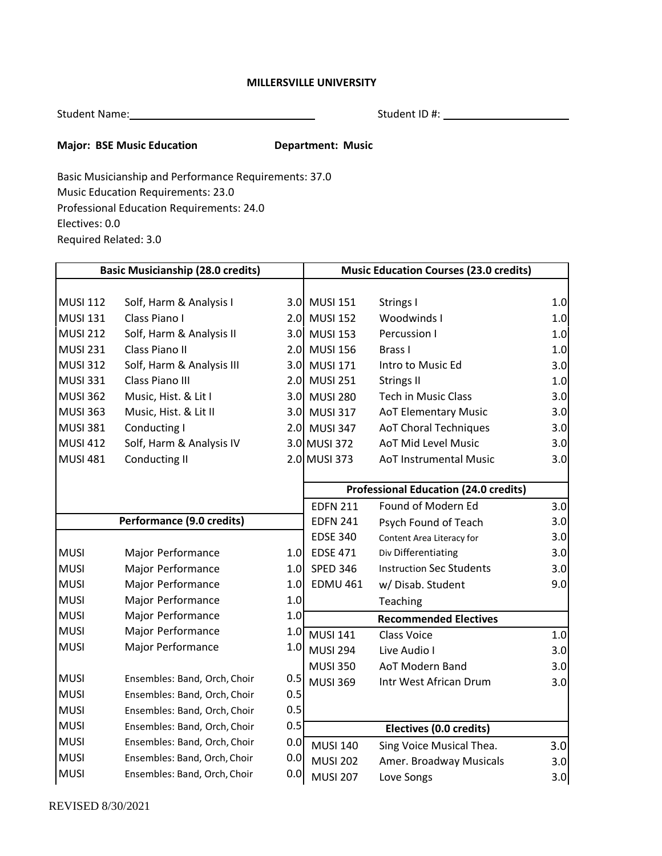## **MILLERSVILLE UNIVERSITY**

| <b>Student Name:</b> |  |
|----------------------|--|
|                      |  |

Student Name: Student ID #:

## **Major: BSE Music Education Department: Music**

Basic Musicianship and Performance Requirements: 37.0 Music Education Requirements: 23.0 Professional Education Requirements: 24.0 Electives: 0.0 Required Related: 3.0

| <b>Basic Musicianship (28.0 credits)</b> |                              | <b>Music Education Courses (23.0 credits)</b> |                                              |                                 |     |
|------------------------------------------|------------------------------|-----------------------------------------------|----------------------------------------------|---------------------------------|-----|
|                                          |                              |                                               |                                              |                                 |     |
| <b>MUSI 112</b>                          | Solf, Harm & Analysis I      |                                               | 3.0 MUSI 151                                 | Strings I                       | 1.0 |
| <b>MUSI 131</b>                          | Class Piano I                |                                               | 2.0 MUSI 152                                 | Woodwinds I                     | 1.0 |
| <b>MUSI 212</b>                          | Solf, Harm & Analysis II     |                                               | 3.0 MUSI 153                                 | Percussion I                    | 1.0 |
| <b>MUSI 231</b>                          | Class Piano II               |                                               | 2.0 MUSI 156                                 | Brass I                         | 1.0 |
| <b>MUSI 312</b>                          | Solf, Harm & Analysis III    | 3.0                                           | <b>MUSI 171</b>                              | Intro to Music Ed               | 3.0 |
| <b>MUSI 331</b>                          | Class Piano III              | 2.0                                           | <b>MUSI 251</b>                              | <b>Strings II</b>               | 1.0 |
| <b>MUSI 362</b>                          | Music, Hist. & Lit I         |                                               | 3.0 MUSI 280                                 | <b>Tech in Music Class</b>      | 3.0 |
| <b>MUSI 363</b>                          | Music, Hist. & Lit II        |                                               | 3.0 MUSI 317                                 | <b>AoT Elementary Music</b>     | 3.0 |
| <b>MUSI 381</b>                          | Conducting I                 |                                               | 2.0 MUSI 347                                 | <b>AoT Choral Techniques</b>    | 3.0 |
| <b>MUSI 412</b>                          | Solf, Harm & Analysis IV     |                                               | 3.0 MUSI 372                                 | <b>AoT Mid Level Music</b>      | 3.0 |
| <b>MUSI 481</b>                          | Conducting II                |                                               | 2.0 MUSI 373                                 | <b>AoT Instrumental Music</b>   | 3.0 |
|                                          |                              |                                               |                                              |                                 |     |
|                                          |                              |                                               | <b>Professional Education (24.0 credits)</b> |                                 |     |
|                                          |                              |                                               | <b>EDFN 211</b>                              | Found of Modern Ed              | 3.0 |
|                                          | Performance (9.0 credits)    |                                               | <b>EDFN 241</b>                              | Psych Found of Teach            | 3.0 |
|                                          |                              |                                               | <b>EDSE 340</b>                              | Content Area Literacy for       | 3.0 |
| <b>MUSI</b>                              | Major Performance            | 1.0 <sub>l</sub>                              | <b>EDSE 471</b>                              | Div Differentiating             | 3.0 |
| <b>MUSI</b>                              | Major Performance            | 1.0                                           | <b>SPED 346</b>                              | <b>Instruction Sec Students</b> | 3.0 |
| <b>MUSI</b>                              | Major Performance            | 1.0                                           | <b>EDMU 461</b>                              | w/ Disab. Student               | 9.0 |
| <b>MUSI</b>                              | Major Performance            | 1.0                                           |                                              | Teaching                        |     |
| <b>MUSI</b>                              | Major Performance            | 1.0                                           |                                              | <b>Recommended Electives</b>    |     |
| <b>MUSI</b>                              | Major Performance            | 1.0                                           | <b>MUSI 141</b>                              | <b>Class Voice</b>              | 1.0 |
| <b>MUSI</b>                              | Major Performance            | 1.0                                           | <b>MUSI 294</b>                              | Live Audio I                    | 3.0 |
|                                          |                              |                                               | <b>MUSI 350</b>                              | AoT Modern Band                 | 3.0 |
| <b>MUSI</b>                              | Ensembles: Band, Orch, Choir | 0.5                                           | <b>MUSI 369</b>                              | Intr West African Drum          | 3.0 |
| <b>MUSI</b>                              | Ensembles: Band, Orch, Choir | 0.5                                           |                                              |                                 |     |
| <b>MUSI</b>                              | Ensembles: Band, Orch, Choir | 0.5                                           |                                              |                                 |     |
| <b>MUSI</b>                              | Ensembles: Band, Orch, Choir | 0.5                                           |                                              | Electives (0.0 credits)         |     |
| <b>MUSI</b>                              | Ensembles: Band, Orch, Choir | 0.0                                           | <b>MUSI 140</b>                              | Sing Voice Musical Thea.        | 3.0 |
| <b>MUSI</b>                              | Ensembles: Band, Orch, Choir | 0.0                                           | <b>MUSI 202</b>                              | Amer. Broadway Musicals         | 3.0 |
| <b>MUSI</b>                              | Ensembles: Band, Orch, Choir | 0.0                                           | <b>MUSI 207</b>                              | Love Songs                      | 3.0 |
|                                          |                              |                                               |                                              |                                 |     |